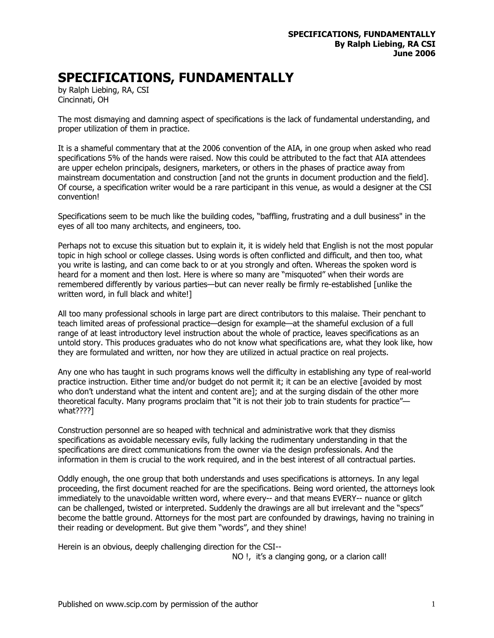## **SPECIFICATIONS, FUNDAMENTALLY**

by Ralph Liebing, RA, CSI Cincinnati, OH

The most dismaying and damning aspect of specifications is the lack of fundamental understanding, and proper utilization of them in practice.

It is a shameful commentary that at the 2006 convention of the AIA, in one group when asked who read specifications 5% of the hands were raised. Now this could be attributed to the fact that AIA attendees are upper echelon principals, designers, marketers, or others in the phases of practice away from mainstream documentation and construction [and not the grunts in document production and the field]. Of course, a specification writer would be a rare participant in this venue, as would a designer at the CSI convention!

Specifications seem to be much like the building codes, "baffling, frustrating and a dull business" in the eyes of all too many architects, and engineers, too.

Perhaps not to excuse this situation but to explain it, it is widely held that English is not the most popular topic in high school or college classes. Using words is often conflicted and difficult, and then too, what you write is lasting, and can come back to or at you strongly and often. Whereas the spoken word is heard for a moment and then lost. Here is where so many are "misquoted" when their words are remembered differently by various parties—but can never really be firmly re-established [unlike the written word, in full black and white!]

All too many professional schools in large part are direct contributors to this malaise. Their penchant to teach limited areas of professional practice—design for example—at the shameful exclusion of a full range of at least introductory level instruction about the whole of practice, leaves specifications as an untold story. This produces graduates who do not know what specifications are, what they look like, how they are formulated and written, nor how they are utilized in actual practice on real projects.

Any one who has taught in such programs knows well the difficulty in establishing any type of real-world practice instruction. Either time and/or budget do not permit it; it can be an elective [avoided by most who don't understand what the intent and content are]; and at the surging disdain of the other more theoretical faculty. Many programs proclaim that "it is not their job to train students for practice" what????]

Construction personnel are so heaped with technical and administrative work that they dismiss specifications as avoidable necessary evils, fully lacking the rudimentary understanding in that the specifications are direct communications from the owner via the design professionals. And the information in them is crucial to the work required, and in the best interest of all contractual parties.

Oddly enough, the one group that both understands and uses specifications is attorneys. In any legal proceeding, the first document reached for are the specifications. Being word oriented, the attorneys look immediately to the unavoidable written word, where every-- and that means EVERY-- nuance or glitch can be challenged, twisted or interpreted. Suddenly the drawings are all but irrelevant and the "specs" become the battle ground. Attorneys for the most part are confounded by drawings, having no training in their reading or development. But give them "words", and they shine!

Herein is an obvious, deeply challenging direction for the CSI--

NO !, it's a clanging gong, or a clarion call!